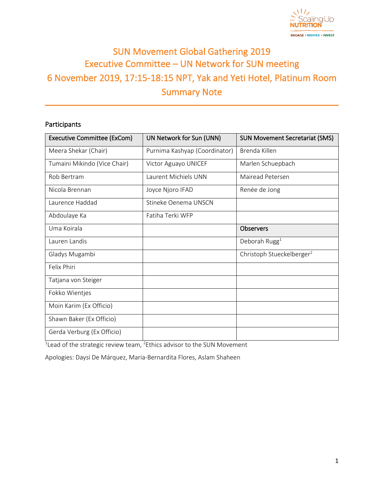

# SUN Movement Global Gathering 2019 Executive Committee – UN Network for SUN meeting 6 November 2019, 17:15-18:15 NPT, Yak and Yeti Hotel, Platinum Room Summary Note

# Participants

| <b>Executive Committee (ExCom)</b> | UN Network for Sun (UNN)      | <b>SUN Movement Secretariat (SMS)</b> |
|------------------------------------|-------------------------------|---------------------------------------|
| Meera Shekar (Chair)               | Purnima Kashyap (Coordinator) | Brenda Killen                         |
| Tumaini Mikindo (Vice Chair)       | Victor Aguayo UNICEF          | Marlen Schuepbach                     |
| Rob Bertram                        | Laurent Michiels UNN          | Mairead Petersen                      |
| Nicola Brennan                     | Joyce Njoro IFAD              | Renée de Jong                         |
| Laurence Haddad                    | Stineke Oenema UNSCN          |                                       |
| Abdoulaye Ka                       | Fatiha Terki WFP              |                                       |
| Uma Koirala                        |                               | <b>Observers</b>                      |
| Lauren Landis                      |                               | Deborah Rugg $1$                      |
| Gladys Mugambi                     |                               | Christoph Stueckelberger <sup>2</sup> |
| Felix Phiri                        |                               |                                       |
| Tatjana von Steiger                |                               |                                       |
| Fokko Wientjes                     |                               |                                       |
| Moin Karim (Ex Officio)            |                               |                                       |
| Shawn Baker (Ex Officio)           |                               |                                       |
| Gerda Verburg (Ex Officio)         |                               |                                       |

 $1$ Lead of the strategic review team,  $2$ Ethics advisor to the SUN Movement

Apologies: Daysi De Márquez, Maria-Bernardita Flores, Aslam Shaheen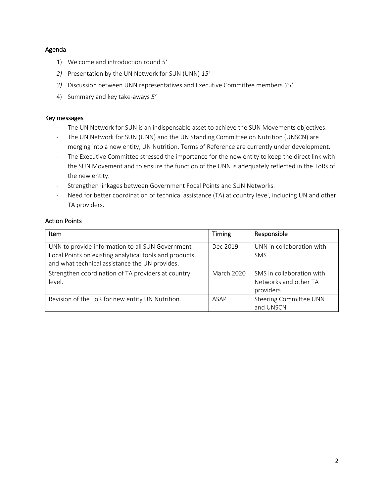### Agenda

- 1) Welcome and introduction round *5'*
- *2)* Presentation by the UN Network for SUN (UNN) *15'*
- *3)* Discussion between UNN representatives and Executive Committee members *35'*
- 4) Summary and key take-aways *5'*

#### Key messages

- The UN Network for SUN is an indispensable asset to achieve the SUN Movements objectives.
- The UN Network for SUN (UNN) and the UN Standing Committee on Nutrition (UNSCN) are merging into a new entity, UN Nutrition. Terms of Reference are currently under development.
- The Executive Committee stressed the importance for the new entity to keep the direct link with the SUN Movement and to ensure the function of the UNN is adequately reflected in the ToRs of the new entity.
- Strengthen linkages between Government Focal Points and SUN Networks.
- Need for better coordination of technical assistance (TA) at country level, including UN and other TA providers.

### Action Points

| <b>Item</b>                                                                                                                                                   | Timing            | Responsible                                                     |
|---------------------------------------------------------------------------------------------------------------------------------------------------------------|-------------------|-----------------------------------------------------------------|
| UNN to provide information to all SUN Government<br>Focal Points on existing analytical tools and products,<br>and what technical assistance the UN provides. | Dec 2019          | UNN in collaboration with<br><b>SMS</b>                         |
| Strengthen coordination of TA providers at country<br>level.                                                                                                  | <b>March 2020</b> | SMS in collaboration with<br>Networks and other TA<br>providers |
| Revision of the ToR for new entity UN Nutrition.                                                                                                              | ASAP              | Steering Committee UNN<br>and UNSCN                             |